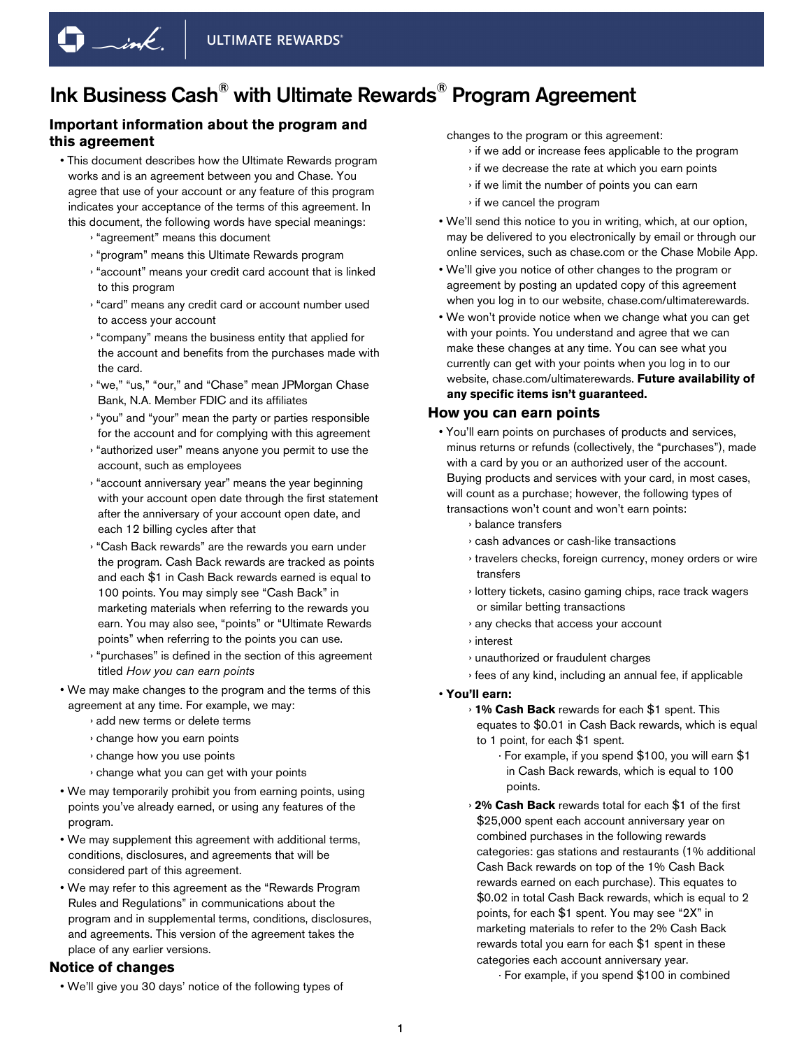# **Important information about the program and this agreement**

- This document describes how the Ultimate Rewards program works and is an agreement between you and Chase. You agree that use of your account or any feature of this program indicates your acceptance of the terms of this agreement. In this document, the following words have special meanings:
	- › "agreement" means this document

 $\Box$ ink.

- › "program" means this Ultimate Rewards program
- › "account" means your credit card account that is linked to this program
- › "card" means any credit card or account number used to access your account
- › "company" means the business entity that applied for the account and benefits from the purchases made with the card.
- › "we," "us," "our," and "Chase" mean JPMorgan Chase Bank, N.A. Member FDIC and its affiliates
- › "you" and "your" mean the party or parties responsible for the account and for complying with this agreement
- › "authorized user" means anyone you permit to use the account, such as employees
- › "account anniversary year" means the year beginning with your account open date through the first statement after the anniversary of your account open date, and each 12 billing cycles after that
- › "Cash Back rewards" are the rewards you earn under the program. Cash Back rewards are tracked as points and each \$1 in Cash Back rewards earned is equal to 100 points. You may simply see "Cash Back" in marketing materials when referring to the rewards you earn. You may also see, "points" or "Ultimate Rewards points" when referring to the points you can use.
- › "purchases" is defined in the section of this agreement titled *How you can earn points*
- We may make changes to the program and the terms of this agreement at any time. For example, we may:
	- › add new terms or delete terms
	- › change how you earn points
	- › change how you use points
	- › change what you can get with your points
- We may temporarily prohibit you from earning points, using points you've already earned, or using any features of the program.
- We may supplement this agreement with additional terms, conditions, disclosures, and agreements that will be considered part of this agreement.
- We may refer to this agreement as the "Rewards Program Rules and Regulations" in communications about the program and in supplemental terms, conditions, disclosures, and agreements. This version of the agreement takes the place of any earlier versions.

### **Notice of changes**

• We'll give you 30 days' notice of the following types of

changes to the program or this agreement:

- › if we add or increase fees applicable to the program
- › if we decrease the rate at which you earn points
- › if we limit the number of points you can earn
- › if we cancel the program
- We'll send this notice to you in writing, which, at our option, may be delivered to you electronically by email or through our online services, such as chase.com or the Chase Mobile App.
- We'll give you notice of other changes to the program or agreement by posting an updated copy of this agreement when you log in to our website, chase.com/ultimaterewards.
- We won't provide notice when we change what you can get with your points. You understand and agree that we can make these changes at any time. You can see what you currently can get with your points when you log in to our website, chase.com/ultimaterewards. **Future availability of any specific items isn't guaranteed.**

#### **How you can earn points**

• You'll earn points on purchases of products and services, minus returns or refunds (collectively, the "purchases"), made with a card by you or an authorized user of the account. Buying products and services with your card, in most cases, will count as a purchase; however, the following types of transactions won't count and won't earn points:

- › balance transfers
- › cash advances or cash-like transactions
- › travelers checks, foreign currency, money orders or wire transfers
- › lottery tickets, casino gaming chips, race track wagers or similar betting transactions
- › any checks that access your account
- › interest
- › unauthorized or fraudulent charges
- › fees of any kind, including an annual fee, if applicable

#### • **You'll earn:**

- › **1% Cash Back** rewards for each \$1 spent. This equates to \$0.01 in Cash Back rewards, which is equal to 1 point, for each \$1 spent.
	- · For example, if you spend \$100, you will earn \$1 in Cash Back rewards, which is equal to 100 points.
- › **2% Cash Back** rewards total for each \$1 of the first \$25,000 spent each account anniversary year on combined purchases in the following rewards categories: gas stations and restaurants (1% additional Cash Back rewards on top of the 1% Cash Back rewards earned on each purchase). This equates to \$0.02 in total Cash Back rewards, which is equal to 2 points, for each \$1 spent. You may see "2X" in marketing materials to refer to the 2% Cash Back rewards total you earn for each \$1 spent in these categories each account anniversary year.

<sup>·</sup> For example, if you spend \$100 in combined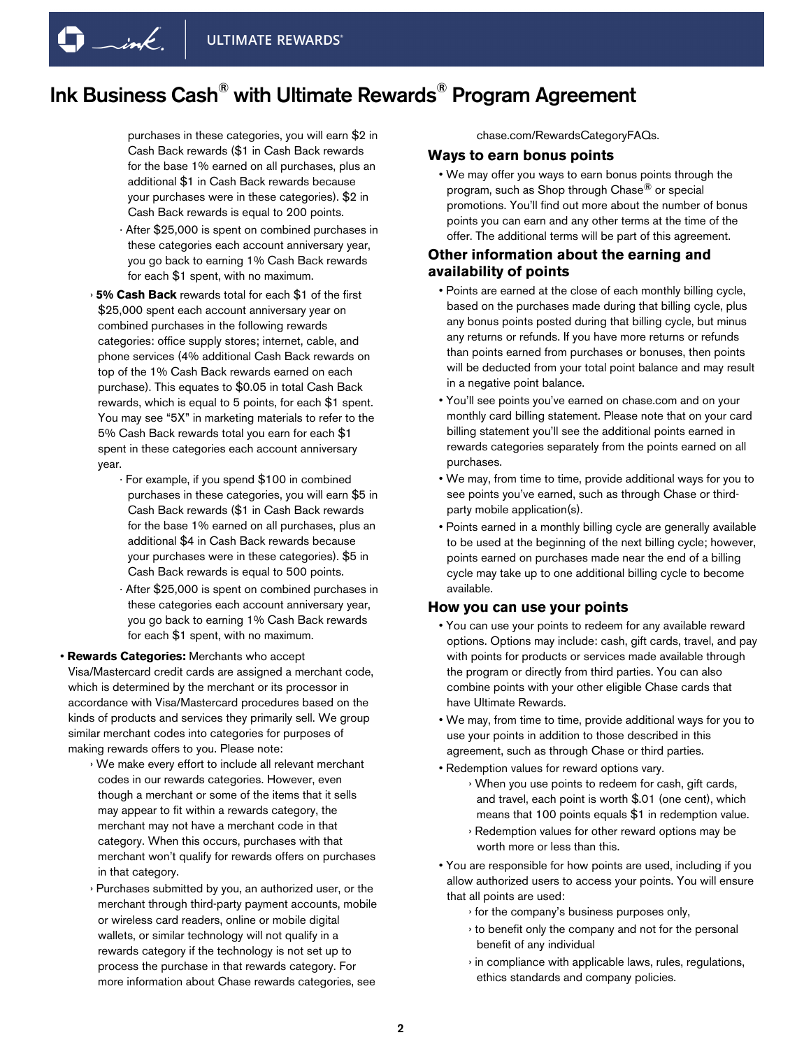$\Box$ ink.

# Ink Business Cash® with Ultimate Rewards® Program Agreement

purchases in these categories, you will earn \$2 in Cash Back rewards (\$1 in Cash Back rewards for the base 1% earned on all purchases, plus an additional \$1 in Cash Back rewards because your purchases were in these categories). \$2 in Cash Back rewards is equal to 200 points.

- · After \$25,000 is spent on combined purchases in these categories each account anniversary year, you go back to earning 1% Cash Back rewards for each \$1 spent, with no maximum.
- › **5% Cash Back** rewards total for each \$1 of the first \$25,000 spent each account anniversary year on combined purchases in the following rewards categories: office supply stores; internet, cable, and phone services (4% additional Cash Back rewards on top of the 1% Cash Back rewards earned on each purchase). This equates to \$0.05 in total Cash Back rewards, which is equal to 5 points, for each \$1 spent. You may see "5X" in marketing materials to refer to the 5% Cash Back rewards total you earn for each \$1 spent in these categories each account anniversary year.
	- · For example, if you spend \$100 in combined purchases in these categories, you will earn \$5 in Cash Back rewards (\$1 in Cash Back rewards for the base 1% earned on all purchases, plus an additional \$4 in Cash Back rewards because your purchases were in these categories). \$5 in Cash Back rewards is equal to 500 points.
	- · After \$25,000 is spent on combined purchases in these categories each account anniversary year, you go back to earning 1% Cash Back rewards for each \$1 spent, with no maximum.

• **Rewards Categories:** Merchants who accept Visa/Mastercard credit cards are assigned a merchant code, which is determined by the merchant or its processor in accordance with Visa/Mastercard procedures based on the kinds of products and services they primarily sell. We group similar merchant codes into categories for purposes of making rewards offers to you. Please note:

- › We make every effort to include all relevant merchant codes in our rewards categories. However, even though a merchant or some of the items that it sells may appear to fit within a rewards category, the merchant may not have a merchant code in that category. When this occurs, purchases with that merchant won't qualify for rewards offers on purchases in that category.
- › Purchases submitted by you, an authorized user, or the merchant through third-party payment accounts, mobile or wireless card readers, online or mobile digital wallets, or similar technology will not qualify in a rewards category if the technology is not set up to process the purchase in that rewards category. For more information about Chase rewards categories, see

chase.com/RewardsCategoryFAQs.

#### **Ways to earn bonus points**

• We may offer you ways to earn bonus points through the program, such as Shop through Chase<sup>®</sup> or special promotions. You'll find out more about the number of bonus points you can earn and any other terms at the time of the offer. The additional terms will be part of this agreement.

### **Other information about the earning and availability of points**

- Points are earned at the close of each monthly billing cycle, based on the purchases made during that billing cycle, plus any bonus points posted during that billing cycle, but minus any returns or refunds. If you have more returns or refunds than points earned from purchases or bonuses, then points will be deducted from your total point balance and may result in a negative point balance.
- You'll see points you've earned on chase.com and on your monthly card billing statement. Please note that on your card billing statement you'll see the additional points earned in rewards categories separately from the points earned on all purchases.
- We may, from time to time, provide additional ways for you to see points you've earned, such as through Chase or thirdparty mobile application(s).
- Points earned in a monthly billing cycle are generally available to be used at the beginning of the next billing cycle; however, points earned on purchases made near the end of a billing cycle may take up to one additional billing cycle to become available.

#### **How you can use your points**

- You can use your points to redeem for any available reward options. Options may include: cash, gift cards, travel, and pay with points for products or services made available through the program or directly from third parties. You can also combine points with your other eligible Chase cards that have Ultimate Rewards.
- We may, from time to time, provide additional ways for you to use your points in addition to those described in this agreement, such as through Chase or third parties.
- Redemption values for reward options vary. › When you use points to redeem for cash, gift cards, and travel, each point is worth \$.01 (one cent), which means that 100 points equals \$1 in redemption value.
	- › Redemption values for other reward options may be worth more or less than this.
- You are responsible for how points are used, including if you allow authorized users to access your points. You will ensure that all points are used:
	- › for the company's business purposes only,
	- › to benefit only the company and not for the personal benefit of any individual
	- › in compliance with applicable laws, rules, regulations, ethics standards and company policies.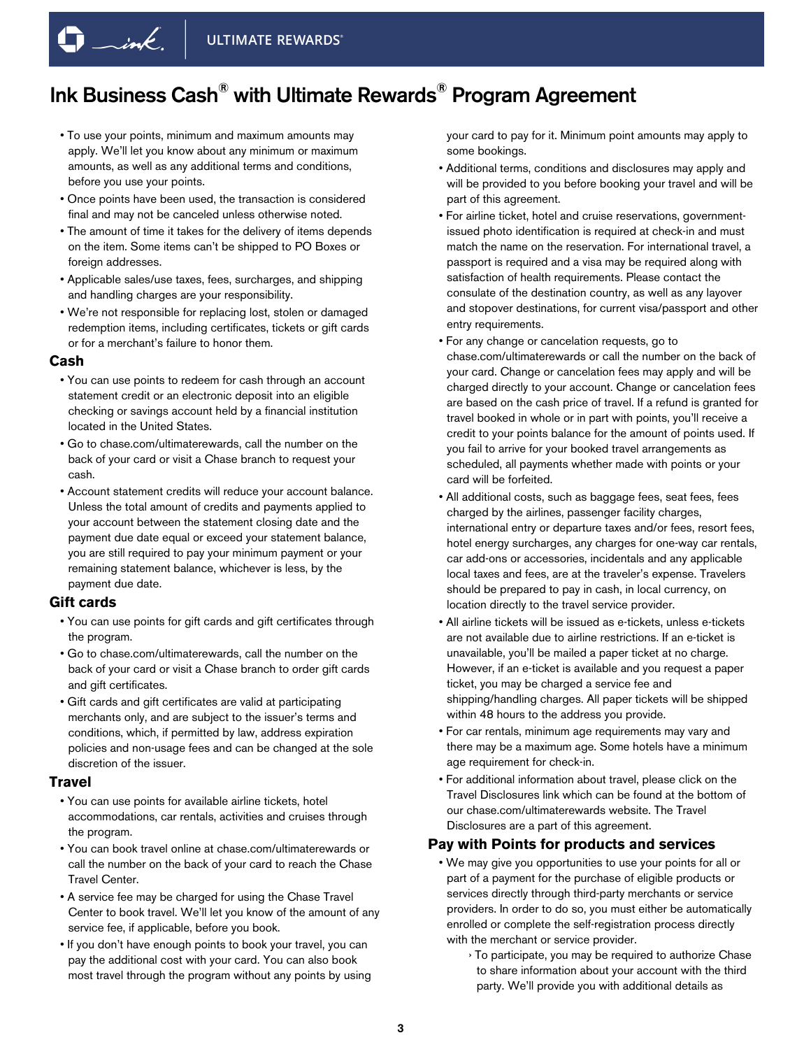- To use your points, minimum and maximum amounts may apply. We'll let you know about any minimum or maximum amounts, as well as any additional terms and conditions, before you use your points.
- Once points have been used, the transaction is considered final and may not be canceled unless otherwise noted.
- The amount of time it takes for the delivery of items depends on the item. Some items can't be shipped to PO Boxes or foreign addresses.
- Applicable sales/use taxes, fees, surcharges, and shipping and handling charges are your responsibility.
- We're not responsible for replacing lost, stolen or damaged redemption items, including certificates, tickets or gift cards or for a merchant's failure to honor them.

#### **Cash**

- You can use points to redeem for cash through an account statement credit or an electronic deposit into an eligible checking or savings account held by a financial institution located in the United States.
- Go to chase.com/ultimaterewards, call the number on the back of your card or visit a Chase branch to request your cash.
- Account statement credits will reduce your account balance. Unless the total amount of credits and payments applied to your account between the statement closing date and the payment due date equal or exceed your statement balance, you are still required to pay your minimum payment or your remaining statement balance, whichever is less, by the payment due date.

### **Gift cards**

- You can use points for gift cards and gift certificates through the program.
- Go to chase.com/ultimaterewards, call the number on the back of your card or visit a Chase branch to order gift cards and gift certificates.
- Gift cards and gift certificates are valid at participating merchants only, and are subject to the issuer's terms and conditions, which, if permitted by law, address expiration policies and non-usage fees and can be changed at the sole discretion of the issuer.

#### **Travel**

- You can use points for available airline tickets, hotel accommodations, car rentals, activities and cruises through the program.
- You can book travel online at chase.com/ultimaterewards or call the number on the back of your card to reach the Chase Travel Center.
- A service fee may be charged for using the Chase Travel Center to book travel. We'll let you know of the amount of any service fee, if applicable, before you book.
- If you don't have enough points to book your travel, you can pay the additional cost with your card. You can also book most travel through the program without any points by using

your card to pay for it. Minimum point amounts may apply to some bookings.

- Additional terms, conditions and disclosures may apply and will be provided to you before booking your travel and will be part of this agreement.
- For airline ticket, hotel and cruise reservations, governmentissued photo identification is required at check-in and must match the name on the reservation. For international travel, a passport is required and a visa may be required along with satisfaction of health requirements. Please contact the consulate of the destination country, as well as any layover and stopover destinations, for current visa/passport and other entry requirements.
- For any change or cancelation requests, go to chase.com/ultimaterewards or call the number on the back of your card. Change or cancelation fees may apply and will be charged directly to your account. Change or cancelation fees are based on the cash price of travel. If a refund is granted for travel booked in whole or in part with points, you'll receive a credit to your points balance for the amount of points used. If you fail to arrive for your booked travel arrangements as scheduled, all payments whether made with points or your card will be forfeited.
- All additional costs, such as baggage fees, seat fees, fees charged by the airlines, passenger facility charges, international entry or departure taxes and/or fees, resort fees, hotel energy surcharges, any charges for one-way car rentals, car add-ons or accessories, incidentals and any applicable local taxes and fees, are at the traveler's expense. Travelers should be prepared to pay in cash, in local currency, on location directly to the travel service provider.
- All airline tickets will be issued as e-tickets, unless e-tickets are not available due to airline restrictions. If an e-ticket is unavailable, you'll be mailed a paper ticket at no charge. However, if an e-ticket is available and you request a paper ticket, you may be charged a service fee and shipping/handling charges. All paper tickets will be shipped within 48 hours to the address you provide.
- For car rentals, minimum age requirements may vary and there may be a maximum age. Some hotels have a minimum age requirement for check-in.
- For additional information about travel, please click on the Travel Disclosures link which can be found at the bottom of our chase.com/ultimaterewards website. The Travel Disclosures are a part of this agreement.

## **Pay with Points for products and services**

- We may give you opportunities to use your points for all or part of a payment for the purchase of eligible products or services directly through third-party merchants or service providers. In order to do so, you must either be automatically enrolled or complete the self-registration process directly with the merchant or service provider.
	- › To participate, you may be required to authorize Chase to share information about your account with the third party. We'll provide you with additional details as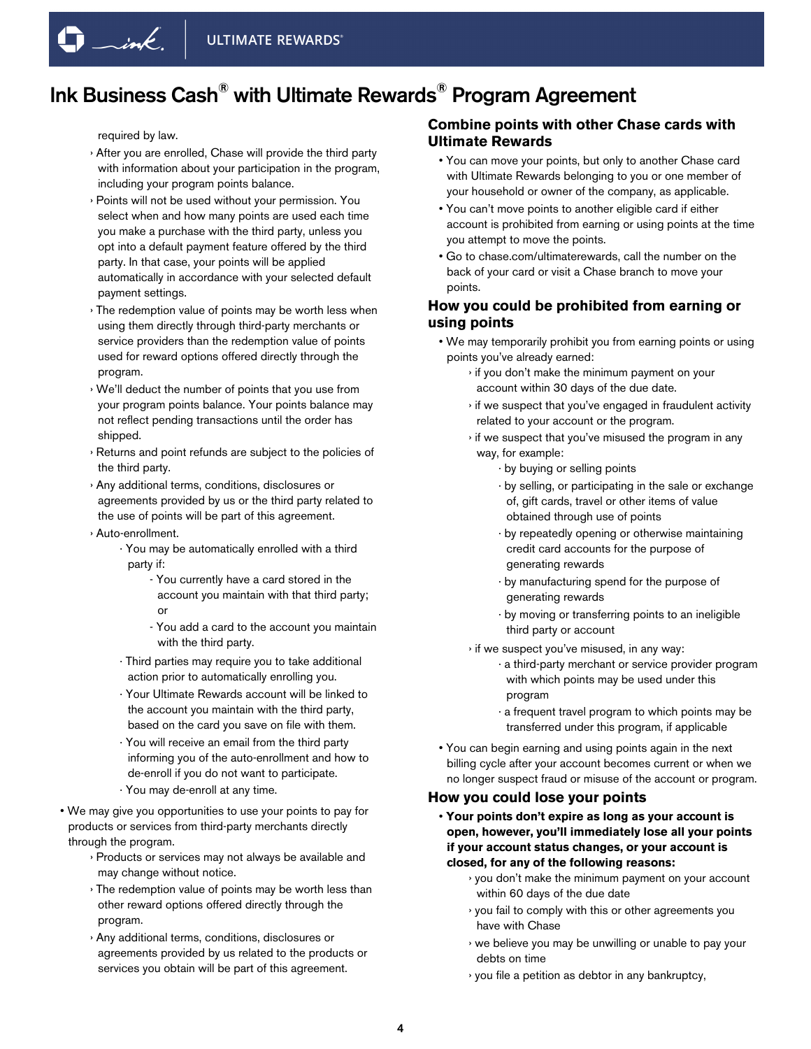required by law.

- › After you are enrolled, Chase will provide the third party with information about your participation in the program, including your program points balance.
- › Points will not be used without your permission. You select when and how many points are used each time you make a purchase with the third party, unless you opt into a default payment feature offered by the third party. In that case, your points will be applied automatically in accordance with your selected default payment settings.
- › The redemption value of points may be worth less when using them directly through third-party merchants or service providers than the redemption value of points used for reward options offered directly through the program.
- › We'll deduct the number of points that you use from your program points balance. Your points balance may not reflect pending transactions until the order has shipped.
- › Returns and point refunds are subject to the policies of the third party.
- › Any additional terms, conditions, disclosures or agreements provided by us or the third party related to the use of points will be part of this agreement.
- › Auto-enrollment.
	- · You may be automatically enrolled with a third party if:
		- You currently have a card stored in the account you maintain with that third party; or
		- You add a card to the account you maintain with the third party.
	- · Third parties may require you to take additional action prior to automatically enrolling you.
	- · Your Ultimate Rewards account will be linked to the account you maintain with the third party, based on the card you save on file with them.
	- · You will receive an email from the third party informing you of the auto-enrollment and how to de-enroll if you do not want to participate.
	- · You may de-enroll at any time.
- We may give you opportunities to use your points to pay for products or services from third-party merchants directly through the program.
	- › Products or services may not always be available and may change without notice.
	- › The redemption value of points may be worth less than other reward options offered directly through the program.
	- › Any additional terms, conditions, disclosures or agreements provided by us related to the products or services you obtain will be part of this agreement.

# **Combine points with other Chase cards with Ultimate Rewards**

- You can move your points, but only to another Chase card with Ultimate Rewards belonging to you or one member of your household or owner of the company, as applicable.
- You can't move points to another eligible card if either account is prohibited from earning or using points at the time you attempt to move the points.
- Go to chase.com/ultimaterewards, call the number on the back of your card or visit a Chase branch to move your points.

### **How you could be prohibited from earning or using points**

- We may temporarily prohibit you from earning points or using points you've already earned:
	- › if you don't make the minimum payment on your account within 30 days of the due date.
	- › if we suspect that you've engaged in fraudulent activity related to your account or the program.
	- › if we suspect that you've misused the program in any way, for example:
		- · by buying or selling points
		- · by selling, or participating in the sale or exchange of, gift cards, travel or other items of value obtained through use of points
		- · by repeatedly opening or otherwise maintaining credit card accounts for the purpose of generating rewards
		- · by manufacturing spend for the purpose of generating rewards
		- · by moving or transferring points to an ineligible third party or account
	- › if we suspect you've misused, in any way:
		- · a third-party merchant or service provider program with which points may be used under this program
		- · a frequent travel program to which points may be transferred under this program, if applicable
- You can begin earning and using points again in the next billing cycle after your account becomes current or when we no longer suspect fraud or misuse of the account or program.

## **How you could lose your points**

- **Your points don't expire as long as your account is open, however, you'll immediately lose all your points if your account status changes, or your account is closed, for any of the following reasons:**
	- › you don't make the minimum payment on your account within 60 days of the due date
	- › you fail to comply with this or other agreements you have with Chase
	- › we believe you may be unwilling or unable to pay your debts on time
	- › you file a petition as debtor in any bankruptcy,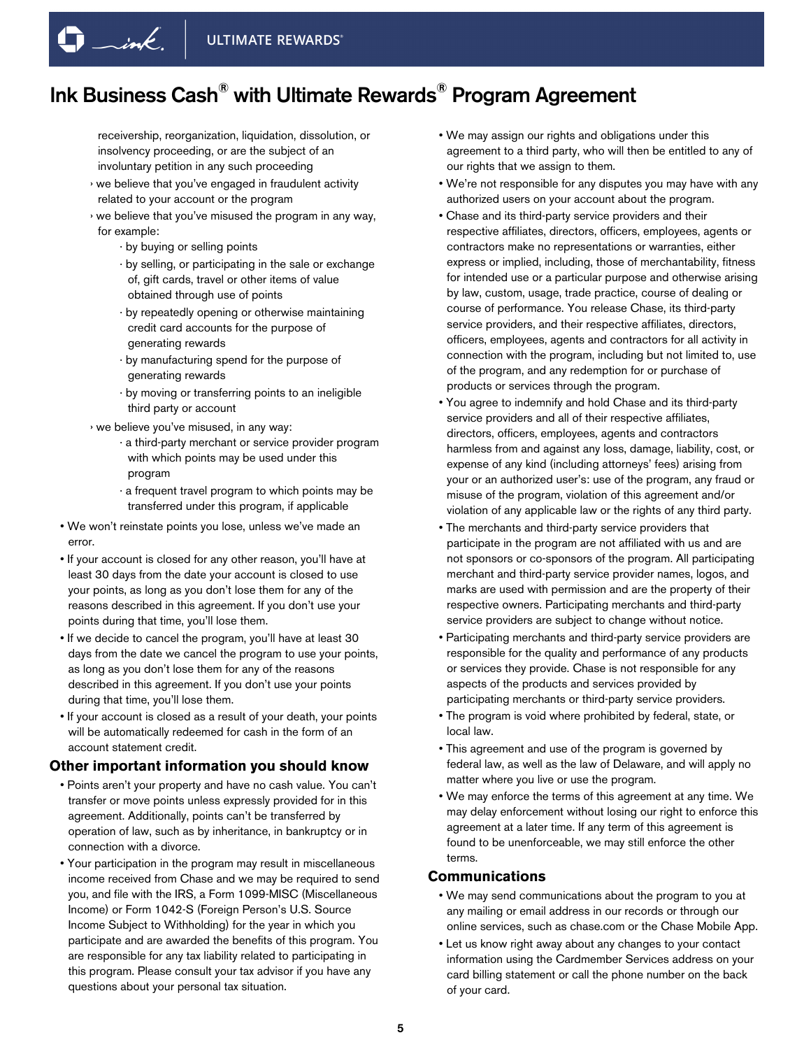receivership, reorganization, liquidation, dissolution, or insolvency proceeding, or are the subject of an involuntary petition in any such proceeding

- › we believe that you've engaged in fraudulent activity related to your account or the program
- › we believe that you've misused the program in any way, for example:
	- · by buying or selling points

 $\Box$ ink.

- · by selling, or participating in the sale or exchange of, gift cards, travel or other items of value obtained through use of points
- · by repeatedly opening or otherwise maintaining credit card accounts for the purpose of generating rewards
- · by manufacturing spend for the purpose of generating rewards
- · by moving or transferring points to an ineligible third party or account

› we believe you've misused, in any way:

- · a third-party merchant or service provider program with which points may be used under this program
- · a frequent travel program to which points may be transferred under this program, if applicable
- We won't reinstate points you lose, unless we've made an error.
- If your account is closed for any other reason, you'll have at least 30 days from the date your account is closed to use your points, as long as you don't lose them for any of the reasons described in this agreement. If you don't use your points during that time, you'll lose them.
- If we decide to cancel the program, you'll have at least 30 days from the date we cancel the program to use your points, as long as you don't lose them for any of the reasons described in this agreement. If you don't use your points during that time, you'll lose them.
- If your account is closed as a result of your death, your points will be automatically redeemed for cash in the form of an account statement credit.

### **Other important information you should know**

- Points aren't your property and have no cash value. You can't transfer or move points unless expressly provided for in this agreement. Additionally, points can't be transferred by operation of law, such as by inheritance, in bankruptcy or in connection with a divorce.
- Your participation in the program may result in miscellaneous income received from Chase and we may be required to send you, and file with the IRS, a Form 1099-MISC (Miscellaneous Income) or Form 1042-S (Foreign Person's U.S. Source Income Subject to Withholding) for the year in which you participate and are awarded the benefits of this program. You are responsible for any tax liability related to participating in this program. Please consult your tax advisor if you have any questions about your personal tax situation.
- We may assign our rights and obligations under this agreement to a third party, who will then be entitled to any of our rights that we assign to them.
- We're not responsible for any disputes you may have with any authorized users on your account about the program.
- Chase and its third-party service providers and their respective affiliates, directors, officers, employees, agents or contractors make no representations or warranties, either express or implied, including, those of merchantability, fitness for intended use or a particular purpose and otherwise arising by law, custom, usage, trade practice, course of dealing or course of performance. You release Chase, its third-party service providers, and their respective affiliates, directors, officers, employees, agents and contractors for all activity in connection with the program, including but not limited to, use of the program, and any redemption for or purchase of products or services through the program.
- You agree to indemnify and hold Chase and its third-party service providers and all of their respective affiliates, directors, officers, employees, agents and contractors harmless from and against any loss, damage, liability, cost, or expense of any kind (including attorneys' fees) arising from your or an authorized user's: use of the program, any fraud or misuse of the program, violation of this agreement and/or violation of any applicable law or the rights of any third party.
- The merchants and third-party service providers that participate in the program are not affiliated with us and are not sponsors or co-sponsors of the program. All participating merchant and third-party service provider names, logos, and marks are used with permission and are the property of their respective owners. Participating merchants and third-party service providers are subject to change without notice.
- Participating merchants and third-party service providers are responsible for the quality and performance of any products or services they provide. Chase is not responsible for any aspects of the products and services provided by participating merchants or third-party service providers.
- The program is void where prohibited by federal, state, or local law.
- This agreement and use of the program is governed by federal law, as well as the law of Delaware, and will apply no matter where you live or use the program.
- We may enforce the terms of this agreement at any time. We may delay enforcement without losing our right to enforce this agreement at a later time. If any term of this agreement is found to be unenforceable, we may still enforce the other terms.

## **Communications**

- We may send communications about the program to you at any mailing or email address in our records or through our online services, such as chase.com or the Chase Mobile App.
- Let us know right away about any changes to your contact information using the Cardmember Services address on your card billing statement or call the phone number on the back of your card.